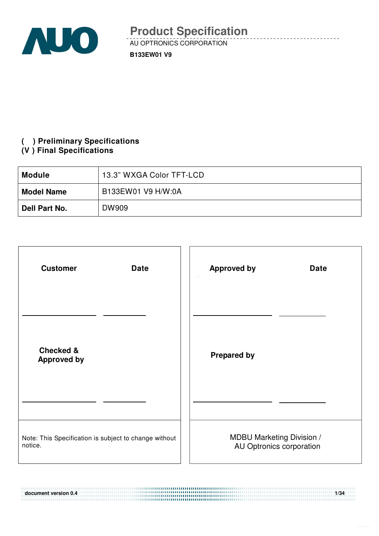

### **( ) Preliminary Specifications**

### **(V ) Final Specifications**

| <b>Module</b>     | 13.3" WXGA Color TFT-LCD |  |  |  |  |
|-------------------|--------------------------|--|--|--|--|
| <b>Model Name</b> | B133EW01 V9 H/W:0A       |  |  |  |  |
| Dell Part No.     | DW909                    |  |  |  |  |

| <b>Customer</b><br><b>Date</b>                                   | <b>Approved by</b><br><b>Date</b>                            |
|------------------------------------------------------------------|--------------------------------------------------------------|
|                                                                  |                                                              |
| <b>Checked &amp;</b><br><b>Approved by</b>                       | <b>Prepared by</b>                                           |
|                                                                  |                                                              |
| Note: This Specification is subject to change without<br>notice. | <b>MDBU Marketing Division /</b><br>AU Optronics corporation |

**document version 0.4 1/34**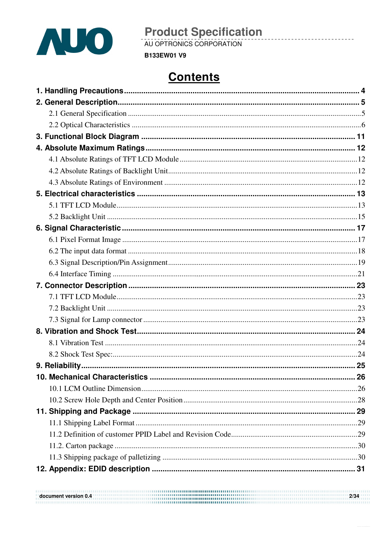

AU OPTRONICS CORPORATION

**B133EW01 V9** 

# **Contents**

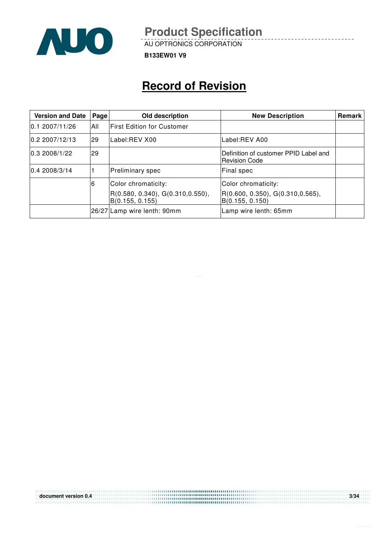

AU OPTRONICS CORPORATION

**B133EW01 V9**

# **Record of Revision**

| <b>Version and Date</b> | Page | Old description                                                             | <b>New Description</b>                                                      | <b>Remark</b> |
|-------------------------|------|-----------------------------------------------------------------------------|-----------------------------------------------------------------------------|---------------|
| 0.12007/11/26           | All  | <b>First Edition for Customer</b>                                           |                                                                             |               |
| 0.22007/12/13           | 29   | Label:REV X00                                                               | Label:REV A00                                                               |               |
| 0.32008/1/22            | 29   |                                                                             | Definition of customer PPID Label and<br><b>Revision Code</b>               |               |
| 0.42008/3/14            |      | Preliminary spec                                                            | Final spec                                                                  |               |
|                         | 6    | Color chromaticity:<br>R(0.580, 0.340), G(0.310, 0.550),<br>B(0.155, 0.155) | Color chromaticity:<br>R(0.600, 0.350), G(0.310, 0.565),<br>B(0.155, 0.150) |               |
|                         |      | 26/27 Lamp wire lenth: 90mm                                                 | Lamp wire lenth: 65mm                                                       |               |

**document version 0.4 3/34**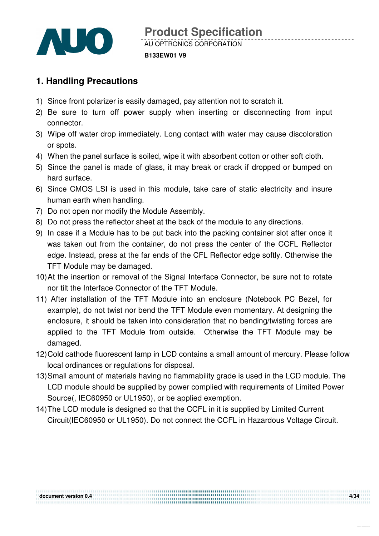

#### **B133EW01 V9**

### **1. Handling Precautions**

- 1) Since front polarizer is easily damaged, pay attention not to scratch it.
- 2) Be sure to turn off power supply when inserting or disconnecting from input connector.
- 3) Wipe off water drop immediately. Long contact with water may cause discoloration or spots.
- 4) When the panel surface is soiled, wipe it with absorbent cotton or other soft cloth.
- 5) Since the panel is made of glass, it may break or crack if dropped or bumped on hard surface.
- 6) Since CMOS LSI is used in this module, take care of static electricity and insure human earth when handling.
- 7) Do not open nor modify the Module Assembly.
- 8) Do not press the reflector sheet at the back of the module to any directions.
- 9) In case if a Module has to be put back into the packing container slot after once it was taken out from the container, do not press the center of the CCFL Reflector edge. Instead, press at the far ends of the CFL Reflector edge softly. Otherwise the TFT Module may be damaged.
- 10) At the insertion or removal of the Signal Interface Connector, be sure not to rotate nor tilt the Interface Connector of the TFT Module.
- 11) After installation of the TFT Module into an enclosure (Notebook PC Bezel, for example), do not twist nor bend the TFT Module even momentary. At designing the enclosure, it should be taken into consideration that no bending/twisting forces are applied to the TFT Module from outside. Otherwise the TFT Module may be damaged.
- 12) Cold cathode fluorescent lamp in LCD contains a small amount of mercury. Please follow local ordinances or regulations for disposal.
- 13) Small amount of materials having no flammability grade is used in the LCD module. The LCD module should be supplied by power complied with requirements of Limited Power Source(, IEC60950 or UL1950), or be applied exemption.
- 14) The LCD module is designed so that the CCFL in it is supplied by Limited Current Circuit(IEC60950 or UL1950). Do not connect the CCFL in Hazardous Voltage Circuit.

document version 0.4 **Martin Controller Construction Controller Construction** Construction Construction Construction Construction 4/34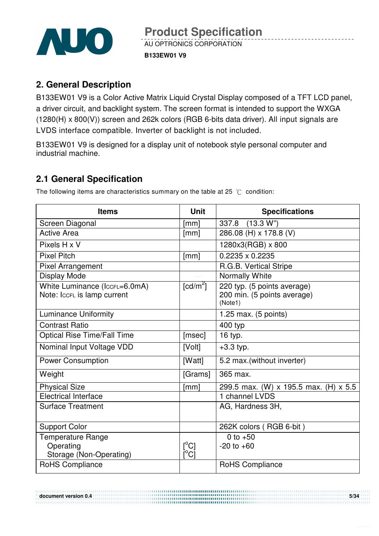

### **2. General Description**

B133EW01 V9 is a Color Active Matrix Liquid Crystal Display composed of a TFT LCD panel, a driver circuit, and backlight system. The screen format is intended to support the WXGA (1280(H) x 800(V)) screen and 262k colors (RGB 6-bits data driver). All input signals are LVDS interface compatible. Inverter of backlight is not included.

B133EW01 V9 is designed for a display unit of notebook style personal computer and industrial machine.

### **2.1 General Specification**

The following items are characteristics summary on the table at 25  $\degree$ C condition:

| <b>Items</b>                                                 | <b>Unit</b>               | <b>Specifications</b>                                                 |
|--------------------------------------------------------------|---------------------------|-----------------------------------------------------------------------|
| Screen Diagonal                                              | [mm]                      | (13.3 W <sup>n</sup> )<br>337.8                                       |
| <b>Active Area</b>                                           | [mm]                      | 286.08 (H) x 178.8 (V)                                                |
| Pixels H x V                                                 |                           | 1280x3(RGB) x 800                                                     |
| <b>Pixel Pitch</b>                                           | [mm]                      | $0.2235 \times 0.2235$                                                |
| <b>Pixel Arrangement</b>                                     |                           | R.G.B. Vertical Stripe                                                |
| <b>Display Mode</b>                                          |                           | Normally White                                                        |
| White Luminance (IccFL=6.0mA)<br>Note: IccFL is lamp current | $\lceil cd/m^2 \rceil$    | 220 typ. (5 points average)<br>200 min. (5 points average)<br>(Note1) |
| <b>Luminance Uniformity</b>                                  |                           | 1.25 max. $(5 \text{ points})$                                        |
| <b>Contrast Ratio</b>                                        |                           | 400 typ                                                               |
| <b>Optical Rise Time/Fall Time</b>                           | [msec]                    | 16 typ.                                                               |
| Nominal Input Voltage VDD                                    | [Volt]                    | $+3.3$ typ.                                                           |
| <b>Power Consumption</b>                                     | [Watt]                    | 5.2 max.(without inverter)                                            |
| Weight                                                       | [Grams]                   | 365 max.                                                              |
| <b>Physical Size</b>                                         | [mm]                      | 299.5 max. (W) x 195.5 max. (H) x 5.5                                 |
| <b>Electrical Interface</b>                                  |                           | 1 channel LVDS                                                        |
| <b>Surface Treatment</b>                                     |                           | AG, Hardness 3H,                                                      |
| <b>Support Color</b>                                         |                           | 262K colors (RGB 6-bit)                                               |
| <b>Temperature Range</b>                                     |                           | 0 to $+50$                                                            |
| Operating                                                    | $\lceil{^{\circ}C}\rceil$ | $-20$ to $+60$                                                        |
| Storage (Non-Operating)                                      | [C]                       |                                                                       |
| RoHS Compliance                                              |                           | <b>RoHS Compliance</b>                                                |

**document version 0.4** 5/34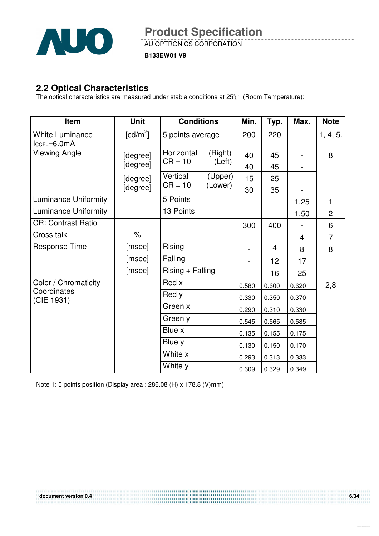

AU OPTRONICS CORPORATION

**B133EW01 V9**

### **2.2 Optical Characteristics**

The optical characteristics are measured under stable conditions at  $25^{\circ}$  (Room Temperature):

| <b>Item</b>                             | <b>Unit</b>            | <b>Conditions</b>     |                    | Min.  | Typ.  | Max.  | <b>Note</b>    |
|-----------------------------------------|------------------------|-----------------------|--------------------|-------|-------|-------|----------------|
| <b>White Luminance</b><br>$lccFL=6.0mA$ | $\lceil cd/m^2 \rceil$ | 5 points average      |                    | 200   | 220   |       | 1, 4, 5.       |
| Viewing Angle                           | [degree]               | Horizontal            | (Right)            | 40    | 45    |       | 8              |
|                                         | [degree]               | $CR = 10$             | (Left)             | 40    | 45    |       |                |
|                                         | [degree]               | Vertical<br>$CR = 10$ | (Upper)<br>(Lower) | 15    | 25    |       |                |
|                                         | [degree]               |                       |                    | 30    | 35    |       |                |
| <b>Luminance Uniformity</b>             |                        | 5 Points              |                    |       |       | 1.25  | 1              |
| <b>Luminance Uniformity</b>             |                        | 13 Points             |                    |       |       | 1.50  | $\overline{2}$ |
| <b>CR: Contrast Ratio</b>               |                        |                       |                    | 300   | 400   |       | 6              |
| Cross talk                              | $\%$                   |                       |                    |       |       | 4     | $\overline{7}$ |
| <b>Response Time</b>                    | [msec]                 | Rising                |                    |       | 4     | 8     | 8              |
|                                         | [msec]                 | Falling               |                    |       | 12    | 17    |                |
|                                         | [msec]                 | Rising + Falling      |                    |       | 16    | 25    |                |
| Color / Chromaticity                    |                        | Red x                 |                    | 0.580 | 0.600 | 0.620 | 2,8            |
| Coordinates<br>(CIE 1931)               |                        | Red y                 |                    | 0.330 | 0.350 | 0.370 |                |
|                                         |                        | Green x               |                    | 0.290 | 0.310 | 0.330 |                |
|                                         |                        | Green y               |                    | 0.545 | 0.565 | 0.585 |                |
|                                         |                        | Blue x                |                    | 0.135 | 0.155 | 0.175 |                |
|                                         |                        | Blue y                |                    | 0.130 | 0.150 | 0.170 |                |
|                                         |                        | White x               |                    | 0.293 | 0.313 | 0.333 |                |
|                                         |                        | White y               |                    | 0.309 | 0.329 | 0.349 |                |

Note 1: 5 points position (Display area : 286.08 (H) x 178.8 (V)mm)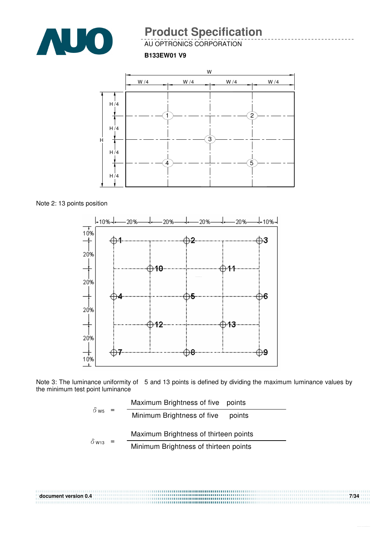

AU OPTRONICS CORPORATION

**B133EW01 V9**



Note 2: 13 points position



Note 3: The luminance uniformity of 5 and 13 points is defined by dividing the maximum luminance values by the minimum test point luminance

$$
\delta_{\text{W5}} = \frac{\text{Maximum brightness of five points}}{\text{Minimum brightness of five points}}
$$
\n
$$
\delta_{\text{W13}} = \frac{\text{Maximum brightness of thirteen points}}{\text{Minimum brightness of thirteen points}}
$$

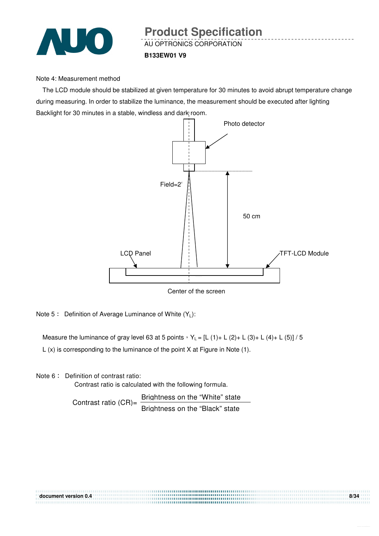

#### Note 4: Measurement method

The LCD module should be stabilized at given temperature for 30 minutes to avoid abrupt temperature change during measuring. In order to stabilize the luminance, the measurement should be executed after lighting Backlight for 30 minutes in a stable, windless and dark room.



Center of the screen

Note 5: Definition of Average Luminance of White  $(Y_L)$ :

Measure the luminance of gray level 63 at 5 points  $Y_L = [L (1) + L (2) + L (3) + L (4) + L (5)] / 5$ 

L (x) is corresponding to the luminance of the point X at Figure in Note (1).

Note 6: Definition of contrast ratio:

Contrast ratio is calculated with the following formula.

Contrast ratio  $(CR)$ = Brightness on the "White" state Brightness on the "Black" state

| document version 0.4 | 8/34 |
|----------------------|------|
|                      |      |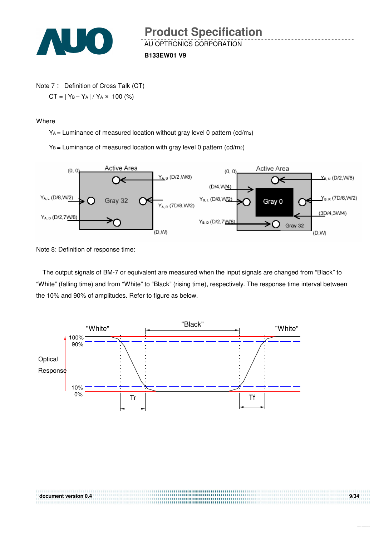

**B133EW01 V9**

Note 7: Definition of Cross Talk (CT)  $CT = |Y_B - Y_A| / Y_A \times 100$  (%)

Where

YA = Luminance of measured location without gray level 0 pattern (cd/m2)

 $Y_B$  = Luminance of measured location with gray level 0 pattern (cd/m2)



Note 8: Definition of response time:

The output signals of BM-7 or equivalent are measured when the input signals are changed from "Black" to "White" (falling time) and from "White" to "Black" (rising time), respectively. The response time interval between the 10% and 90% of amplitudes. Refer to figure as below.

**document version 0.4 9/34** 

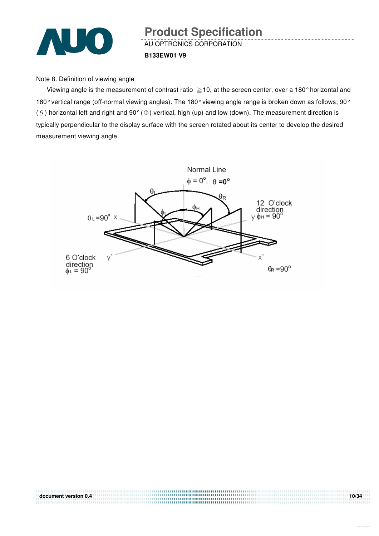

AU OPTRONICS CORPORATION **B133EW01 V9 Product Specification** 

Note 8. Definition of viewing angle

Viewing angle is the measurement of contrast ratio  $\geq$  10, at the screen center, over a 180° horizontal and 180° vertical range (off-normal viewing angles). The 180° viewing angle range is broken down as follows; 90° ( $\theta$ ) horizontal left and right and 90° ( $\Phi$ ) vertical, high (up) and low (down). The measurement direction is typically perpendicular to the display surface with the screen rotated about its center to develop the desired measurement viewing angle.



**document version 0.4** 10/34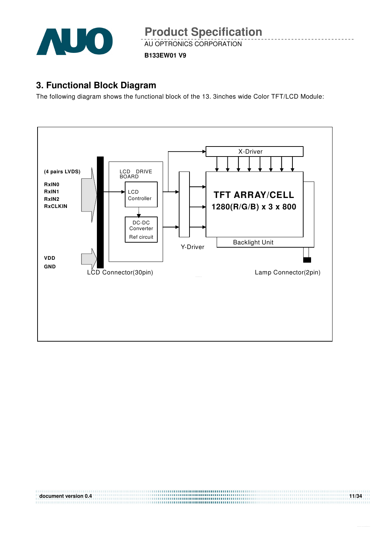

**B133EW01 V9**

### **3. Functional Block Diagram**

The following diagram shows the functional block of the 13. 3inches wide Color TFT/LCD Module:



**document version 0.4** 11/34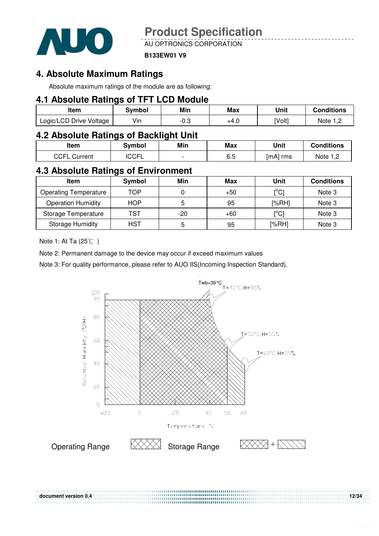

AU OPTRONICS CORPORATION

#### **B133EW01 V9**

### **4. Absolute Maximum Ratings**

Absolute maximum ratings of the module are as following:

#### **4.1 Absolute Ratings of TFT LCD Module**

| Item                    | Svmbol | Min  | Max  | Unit   | Conditions |
|-------------------------|--------|------|------|--------|------------|
| Logic/LCD Drive Voltage | Vin    | -0.3 | +4.U | [Volt] | Note 1 C   |

### **4.2 Absolute Ratings of Backlight Unit**

| ltem            | 3vmbol      | Min | <b>Max</b> | Unit     | <b>Conditions</b> |
|-----------------|-------------|-----|------------|----------|-------------------|
| CCFL<br>Current | <b>CCFL</b> |     | cс<br>ხ. მ | ∣mA∣ rms | Note<br>ے, ا      |

### **4.3 Absolute Ratings of Environment**

| <b>Item</b>                  | Symbol     | Min   | Max   | Unit                                    | <b>Conditions</b> |
|------------------------------|------------|-------|-------|-----------------------------------------|-------------------|
| <b>Operating Temperature</b> | TOP        |       | +50   | $\mathop{\rm l}{\rm ^\circ C}{\rm l}$   | Note 3            |
| <b>Operation Humidity</b>    | <b>HOP</b> | 5     | 95    | [%RH]                                   | Note 3            |
| Storage Temperature          | TST        | $-20$ | $+60$ | $\mathsf{I}^\circ\mathsf{C} \mathsf{I}$ | Note 3            |
| <b>Storage Humidity</b>      | HST        | 5     | 95    | [%RH]                                   | Note 3            |

Note 1: At Ta  $(25^{\circ}\text{C})$ 

Note 2: Permanent damage to the device may occur if exceed maximum values

Note 3: For quality performance, please refer to AUO IIS(Incoming Inspection Standard).

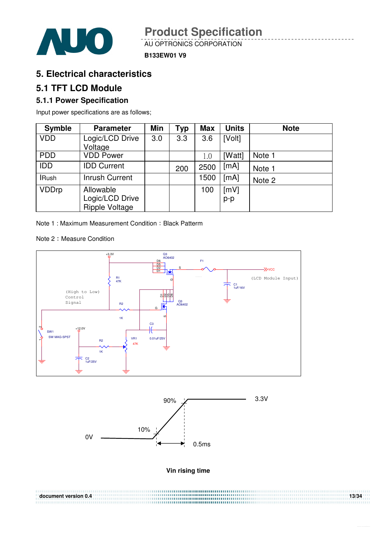

#### **B133EW01 V9**

### **5. Electrical characteristics**

### **5.1 TFT LCD Module**

### **5.1.1 Power Specification**

Input power specifications are as follows;

| <b>Symble</b> | <b>Parameter</b>                                      | Min | Typ | <b>Max</b> | <b>Units</b>  | <b>Note</b> |
|---------------|-------------------------------------------------------|-----|-----|------------|---------------|-------------|
| <b>VDD</b>    | Logic/LCD Drive<br>Voltage                            | 3.0 | 3.3 | 3.6        | [Volt]        |             |
| <b>PDD</b>    | <b>VDD Power</b>                                      |     |     | 1.0        | [Watt]        | Note 1      |
| <b>IDD</b>    | <b>IDD Current</b>                                    |     | 200 | 2500       | [mA]          | Note 1      |
| <b>IRush</b>  | <b>Inrush Current</b>                                 |     |     | 1500       | [mA]          | Note 2      |
| <b>VDDrp</b>  | Allowable<br>Logic/LCD Drive<br><b>Ripple Voltage</b> |     |     | 100        | [mV]<br>$p-p$ |             |

Note 1 : Maximum Measurement Condition : Black Patterm

Note 2: Measure Condition





**Vin rising time** 

**document version 0.4** 13/34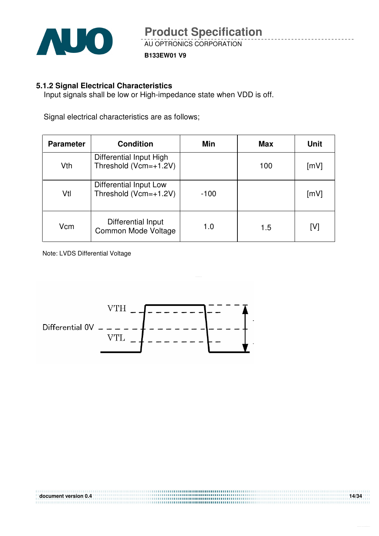

**B133EW01 V9**

### **5.1.2 Signal Electrical Characteristics**

Input signals shall be low or High-impedance state when VDD is off.

Signal electrical characteristics are as follows;

| <b>Parameter</b> | <b>Condition</b>                                 | Min    | <b>Max</b> | <b>Unit</b> |
|------------------|--------------------------------------------------|--------|------------|-------------|
| Vth              | Differential Input High<br>Threshold (Vcm=+1.2V) |        | 100        | [mV]        |
| Vtl              | Differential Input Low<br>Threshold (Vcm=+1.2V)  | $-100$ |            | [mV]        |
| Vcm              | <b>Differential Input</b><br>Common Mode Voltage | 1.0    | 1.5        | [V]         |

Note: LVDS Differential Voltage

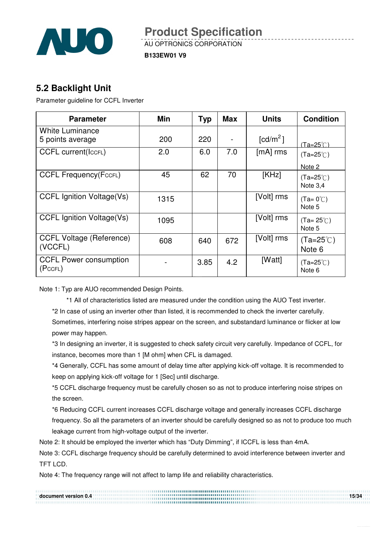

AU OPTRONICS CORPORATION

**B133EW01 V9**

### **5.2 Backlight Unit**

Parameter guideline for CCFL Inverter

| <b>Parameter</b>                           | Min  | <b>Typ</b> | <b>Max</b> | <b>Units</b>           | <b>Condition</b>               |
|--------------------------------------------|------|------------|------------|------------------------|--------------------------------|
| <b>White Luminance</b><br>5 points average | 200  | 220        |            | $\lceil cd/m^2 \rceil$ | $(Ta=25^\circ C)$              |
| <b>CCFL current(IccFL)</b>                 | 2.0  | 6.0        | 7.0        | $[mA]$ rms             | $(Ta=25^{\circ}C)$<br>Note 2   |
| <b>CCFL Frequency (FccFL)</b>              | 45   | 62         | 70         | [KHz]                  | $(Ta=25^{\circ}C)$<br>Note 3,4 |
| <b>CCFL Ignition Voltage(Vs)</b>           | 1315 |            |            | [Volt] rms             | $(Ta=0^{\circ}C)$<br>Note 5    |
| <b>CCFL Ignition Voltage(Vs)</b>           | 1095 |            |            | [Volt] rms             | $(Ta=25^{\circ}C)$<br>Note 5   |
| <b>CCFL Voltage (Reference)</b><br>(VCCFL) | 608  | 640        | 672        | [Volt] rms             | $(Ta=25^{\circ}C)$<br>Note 6   |
| <b>CCFL Power consumption</b><br>(PccFL)   |      | 3.85       | 4.2        | [Watt]                 | $(Ta=25^{\circ}C)$<br>Note 6   |

Note 1: Typ are AUO recommended Design Points.

\*1 All of characteristics listed are measured under the condition using the AUO Test inverter.

\*2 In case of using an inverter other than listed, it is recommended to check the inverter carefully.

Sometimes, interfering noise stripes appear on the screen, and substandard luminance or flicker at low power may happen.

\*3 In designing an inverter, it is suggested to check safety circuit very carefully. Impedance of CCFL, for instance, becomes more than 1 [M ohm] when CFL is damaged.

\*4 Generally, CCFL has some amount of delay time after applying kick-off voltage. It is recommended to keep on applying kick-off voltage for 1 [Sec] until discharge.

\*5 CCFL discharge frequency must be carefully chosen so as not to produce interfering noise stripes on the screen.

\*6 Reducing CCFL current increases CCFL discharge voltage and generally increases CCFL discharge frequency. So all the parameters of an inverter should be carefully designed so as not to produce too much leakage current from high-voltage output of the inverter.

Note 2: It should be employed the inverter which has "Duty Dimming", if ICCFL is less than 4mA.

Note 3: CCFL discharge frequency should be carefully determined to avoid interference between inverter and TFT LCD.

Note 4: The frequency range will not affect to lamp life and reliability characteristics.

**document version 0.4 15/34**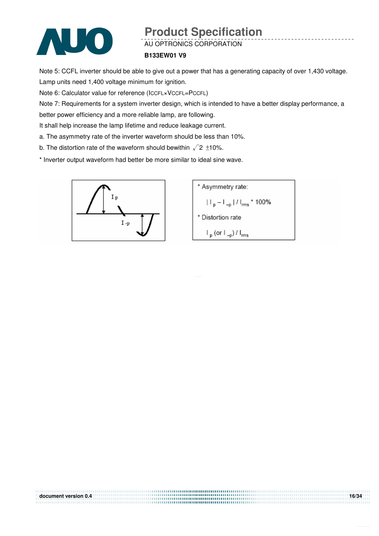

AU OPTRONICS CORPORATION

#### **B133EW01 V9**

Note 5: CCFL inverter should be able to give out a power that has a generating capacity of over 1,430 voltage. Lamp units need 1,400 voltage minimum for ignition.

Note 6: Calculator value for reference (ICCFL×VCCFL=PCCFL)

Note 7: Requirements for a system inverter design, which is intended to have a better display performance, a

**document version 0.4** 16/34

better power efficiency and a more reliable lamp, are following.

It shall help increase the lamp lifetime and reduce leakage current.

- a. The asymmetry rate of the inverter waveform should be less than 10%.
- b. The distortion rate of the waveform should bewithin  $\sqrt{2} \pm 10\%$ .

\* Inverter output waveform had better be more similar to ideal sine wave.



\* Asymmetry rate:  
\n
$$
|I_{p} - I_{-p}| / I_{rms} * 100\%
$$
\n\* Distortion rate  
\n
$$
I_{p} (or I_{-p}) / I_{rms}
$$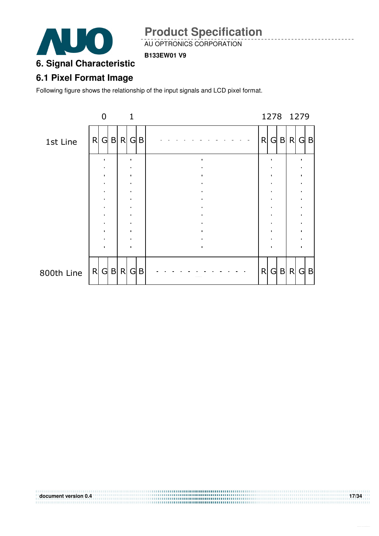

AU OPTRONICS CORPORATION

#### **B133EW01 V9**

# **6. Signal Characteristic**

### **6.1 Pixel Format Image**

Following figure shows the relationship of the input signals and LCD pixel format.

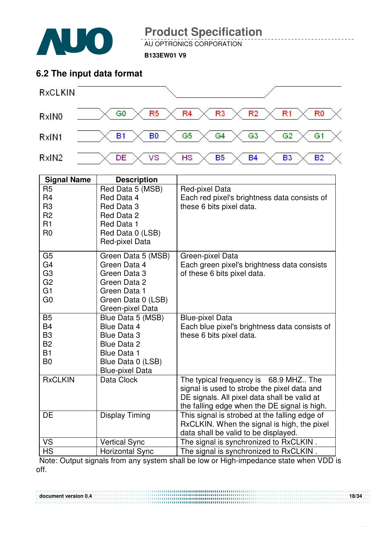

AU OPTRONICS CORPORATION

**B133EW01 V9**

### **6.2 The input data format**



| <b>Signal Name</b>                                                                                       | <b>Description</b>                                                                                                                                       |                                                                                                                                                                                      |
|----------------------------------------------------------------------------------------------------------|----------------------------------------------------------------------------------------------------------------------------------------------------------|--------------------------------------------------------------------------------------------------------------------------------------------------------------------------------------|
| R <sub>5</sub><br>R <sub>4</sub><br>R <sub>3</sub><br>R <sub>2</sub>                                     | Red Data 5 (MSB)<br>Red Data 4<br>Red Data 3<br>Red Data 2                                                                                               | Red-pixel Data<br>Each red pixel's brightness data consists of<br>these 6 bits pixel data.                                                                                           |
| R1<br>R <sub>0</sub>                                                                                     | Red Data 1<br>Red Data 0 (LSB)<br>Red-pixel Data                                                                                                         |                                                                                                                                                                                      |
| G <sub>5</sub><br>G <sub>4</sub><br>G <sub>3</sub><br>G <sub>2</sub><br>G <sub>1</sub><br>G <sub>0</sub> | Green Data 5 (MSB)<br>Green Data 4<br>Green Data 3<br>Green Data 2<br>Green Data 1<br>Green Data 0 (LSB)<br>Green-pixel Data                             | Green-pixel Data<br>Each green pixel's brightness data consists<br>of these 6 bits pixel data.                                                                                       |
| <b>B5</b><br><b>B4</b><br>B <sub>3</sub><br><b>B2</b><br><b>B1</b><br>B <sub>0</sub>                     | Blue Data 5 (MSB)<br><b>Blue Data 4</b><br><b>Blue Data 3</b><br><b>Blue Data 2</b><br><b>Blue Data 1</b><br>Blue Data 0 (LSB)<br><b>Blue-pixel Data</b> | <b>Blue-pixel Data</b><br>Each blue pixel's brightness data consists of<br>these 6 bits pixel data.                                                                                  |
| <b>RxCLKIN</b>                                                                                           | Data Clock                                                                                                                                               | The typical frequency is 68.9 MHZ The<br>signal is used to strobe the pixel data and<br>DE signals. All pixel data shall be valid at<br>the falling edge when the DE signal is high. |
| <b>DE</b>                                                                                                | <b>Display Timing</b>                                                                                                                                    | This signal is strobed at the falling edge of<br>RxCLKIN. When the signal is high, the pixel<br>data shall be valid to be displayed.                                                 |
| <b>VS</b>                                                                                                | <b>Vertical Sync</b>                                                                                                                                     | The signal is synchronized to RxCLKIN.                                                                                                                                               |
| <b>HS</b>                                                                                                | <b>Horizontal Sync</b>                                                                                                                                   | The signal is synchronized to RxCLKIN.                                                                                                                                               |

Note: Output signals from any system shall be low or High-impedance state when VDD is off.

**document version 0.4** 18/34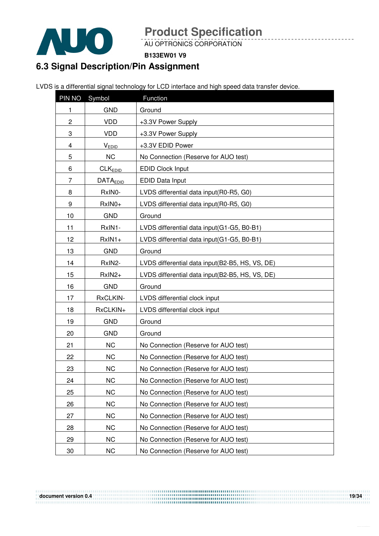

AU OPTRONICS CORPORATION

**B133EW01 V9**

## **6.3 Signal Description/Pin Assignment**

LVDS is a differential signal technology for LCD interface and high speed data transfer device.

| PIN NO                  | Symbol              | Function                                        |  |
|-------------------------|---------------------|-------------------------------------------------|--|
| 1                       | <b>GND</b>          | Ground                                          |  |
| 2                       | <b>VDD</b>          | +3.3V Power Supply                              |  |
| 3                       | <b>VDD</b>          | +3.3V Power Supply                              |  |
| $\overline{\mathbf{4}}$ | $V_{EDID}$          | +3.3V EDID Power                                |  |
| 5                       | <b>NC</b>           | No Connection (Reserve for AUO test)            |  |
| 6                       | CLK <sub>EDID</sub> | <b>EDID Clock Input</b>                         |  |
| 7                       | <b>DATAEDID</b>     | EDID Data Input                                 |  |
| 8                       | RxIN0-              | LVDS differential data input(R0-R5, G0)         |  |
| 9                       | RxIN0+              | LVDS differential data input(R0-R5, G0)         |  |
| 10                      | <b>GND</b>          | Ground                                          |  |
| 11                      | RxIN1-              | LVDS differential data input(G1-G5, B0-B1)      |  |
| 12                      | $RxIN1+$            | LVDS differential data input(G1-G5, B0-B1)      |  |
| 13                      | <b>GND</b>          | Ground                                          |  |
| 14                      | RxIN2-              | LVDS differential data input(B2-B5, HS, VS, DE) |  |
| 15                      | RxIN2+              | LVDS differential data input(B2-B5, HS, VS, DE) |  |
| 16                      | <b>GND</b>          | Ground                                          |  |
| 17                      | RxCLKIN-            | LVDS differential clock input                   |  |
| 18                      | RxCLKIN+            | LVDS differential clock input                   |  |
| 19                      | <b>GND</b>          | Ground                                          |  |
| 20                      | <b>GND</b>          | Ground                                          |  |
| 21                      | <b>NC</b>           | No Connection (Reserve for AUO test)            |  |
| 22                      | <b>NC</b>           | No Connection (Reserve for AUO test)            |  |
| 23                      | <b>NC</b>           | No Connection (Reserve for AUO test)            |  |
| 24                      | <b>NC</b>           | No Connection (Reserve for AUO test)            |  |
| 25                      | <b>NC</b>           | No Connection (Reserve for AUO test)            |  |
| 26                      | <b>NC</b>           | No Connection (Reserve for AUO test)            |  |
| 27                      | <b>NC</b>           | No Connection (Reserve for AUO test)            |  |
| 28                      | <b>NC</b>           | No Connection (Reserve for AUO test)            |  |
| 29                      | <b>NC</b>           | No Connection (Reserve for AUO test)            |  |
| 30                      | <b>NC</b>           | No Connection (Reserve for AUO test)            |  |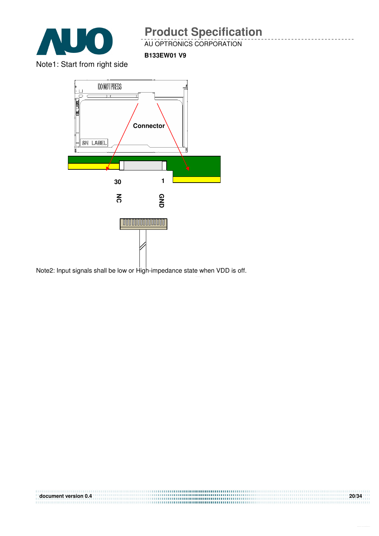

AU OPTRONICS CORPORATION

**B133EW01 V9**

Note1: Start from right side



Note2: Input signals shall be low or High-impedance state when VDD is off.

| document version 0.4 | 20/34 |
|----------------------|-------|
|                      |       |
|                      |       |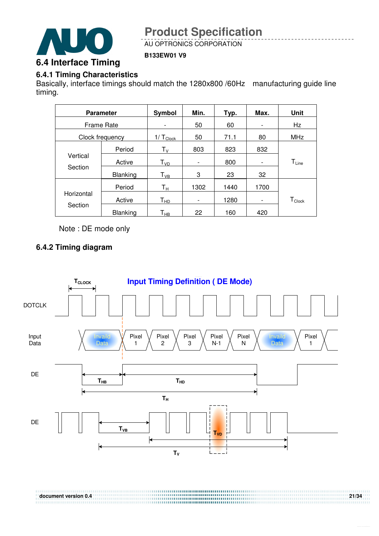

AU OPTRONICS CORPORATION

**B133EW01 V9**

### **6.4.1 Timing Characteristics**

Basically, interface timings should match the 1280x800 /60Hz manufacturing guide line timing.

| <b>Parameter</b>  |          | Symbol                     | Min.                         | Typ. | Max.                     | <b>Unit</b>      |
|-------------------|----------|----------------------------|------------------------------|------|--------------------------|------------------|
| <b>Frame Rate</b> |          | $\overline{\phantom{0}}$   | 50                           | 60   | $\overline{\phantom{0}}$ | Hz               |
| Clock frequency   |          | $1/\top_{Clock}$           | 50                           | 71.1 | 80                       | <b>MHz</b>       |
|                   | Period   | $T_{\rm V}$                | 803                          | 823  | 832                      |                  |
| Vertical          | Active   | T <sub>VD</sub>            | $\qquad \qquad \blacksquare$ | 800  |                          | $T_{Line}$       |
| Section           | Blanking | $T_{VB}$                   | 3                            | 23   | 32                       |                  |
|                   | Period   | $T_{\rm H}$                | 1302                         | 1440 | 1700                     |                  |
| Horizontal        | Active   | $\mathsf{T}_{\mathsf{HD}}$ | $\overline{\phantom{a}}$     | 1280 |                          | $T_{\sf{Clock}}$ |
| Section           | Blanking | $\mathsf{T}_{\mathsf{HB}}$ | 22                           | 160  | 420                      |                  |

Note : DE mode only

### **6.4.2 Timing diagram**

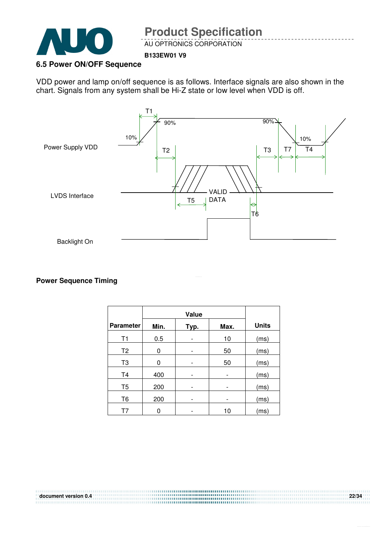

AU OPTRONICS CORPORATION

#### **B133EW01 V9**

#### **6.5 Power ON/OFF Sequence**

VDD power and lamp on/off sequence is as follows. Interface signals are also shown in the chart. Signals from any system shall be Hi-Z state or low level when VDD is off.



#### **Power Sequence Timing**

|                  |      | <b>Value</b> |      |              |
|------------------|------|--------------|------|--------------|
| <b>Parameter</b> | Min. | Typ.         | Max. | <b>Units</b> |
| T1               | 0.5  |              | 10   | (ms)         |
| T <sub>2</sub>   | 0    |              | 50   | (ms)         |
| T <sub>3</sub>   | 0    |              | 50   | (ms)         |
| T <sub>4</sub>   | 400  |              |      | (ms)         |
| T <sub>5</sub>   | 200  |              |      | (ms)         |
| T <sub>6</sub>   | 200  |              |      | (ms)         |
|                  | 0    |              | 10   | (ms)         |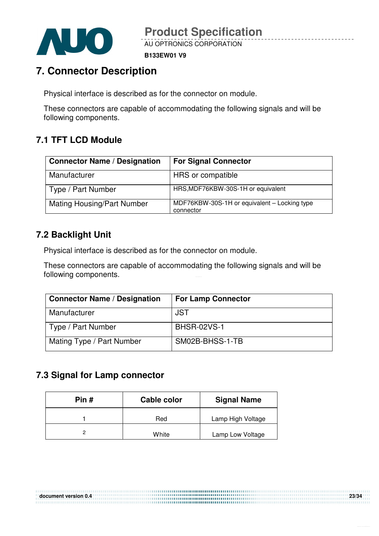

**B133EW01 V9**

## **7. Connector Description**

Physical interface is described as for the connector on module.

These connectors are capable of accommodating the following signals and will be following components.

### **7.1 TFT LCD Module**

| <b>Connector Name / Designation</b> | <b>For Signal Connector</b>                               |
|-------------------------------------|-----------------------------------------------------------|
| Manufacturer                        | HRS or compatible                                         |
| Type / Part Number                  | HRS, MDF76KBW-30S-1H or equivalent                        |
| <b>Mating Housing/Part Number</b>   | MDF76KBW-30S-1H or equivalent - Locking type<br>connector |

### **7.2 Backlight Unit**

Physical interface is described as for the connector on module.

These connectors are capable of accommodating the following signals and will be following components.

| <b>Connector Name / Designation</b> | <b>For Lamp Connector</b> |
|-------------------------------------|---------------------------|
| Manufacturer                        | <b>JST</b>                |
| Type / Part Number                  | <b>BHSR-02VS-1</b>        |
| Mating Type / Part Number           | SM02B-BHSS-1-TB           |

### **7.3 Signal for Lamp connector**

| Pin# | Cable color | <b>Signal Name</b> |
|------|-------------|--------------------|
|      | Red         | Lamp High Voltage  |
|      | White       | Lamp Low Voltage   |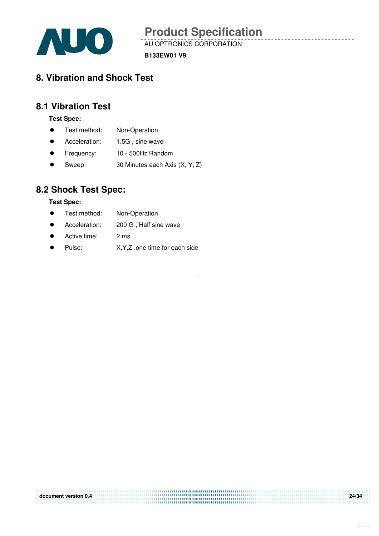

AU OPTRONICS CORPORATION

**B133EW01 V9**

## **8. Vibration and Shock Test**

### **8.1 Vibration Test**

**Test Spec:** 

- **•** Test method: Non-Operation
- Acceleration: 1.5G, sine wave
- Frequency: 10 500Hz Random
- Sweep: 30 Minutes each Axis (X, Y, Z)

### **8.2 Shock Test Spec:**

#### **Test Spec:**

- **•** Test method: Non-Operation
- Acceleration: 200 G, Half sine wave
- Active time: 2 ms
- Pulse: X, Y, Z .one time for each side

| document version 0.4 | 24/34 |
|----------------------|-------|
|                      |       |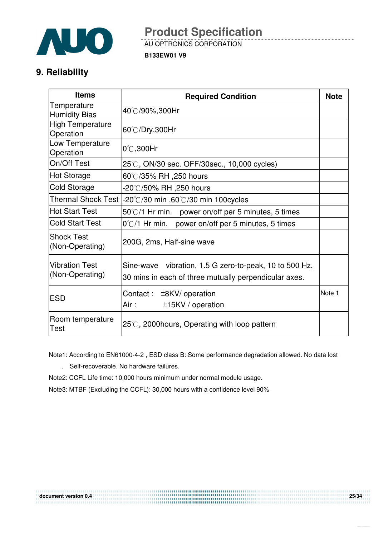

AU OPTRONICS CORPORATION

**B133EW01 V9**

### **9. Reliability**

| <b>Items</b>                             | <b>Required Condition</b>                                                                                       |        |
|------------------------------------------|-----------------------------------------------------------------------------------------------------------------|--------|
| Temperature<br><b>Humidity Bias</b>      | 40℃/90%,300Hr                                                                                                   |        |
| <b>High Temperature</b><br>Operation     | 60℃/Dry,300Hr                                                                                                   |        |
| Low Temperature<br>Operation             | $0^\circ\text{C}$ ,300Hr                                                                                        |        |
| On/Off Test                              | 25℃, ON/30 sec. OFF/30sec., 10,000 cycles)                                                                      |        |
| <b>Hot Storage</b>                       | 60℃/35% RH ,250 hours                                                                                           |        |
| <b>Cold Storage</b>                      | -20℃/50% RH ,250 hours                                                                                          |        |
| <b>Thermal Shock Test  </b>              | -20°C/30 min ,60°C/30 min 100 cycles                                                                            |        |
| <b>Hot Start Test</b>                    | 50°C/1 Hr min. power on/off per 5 minutes, 5 times                                                              |        |
| <b>Cold Start Test</b>                   | $0^{\circ}$ C/1 Hr min. power on/off per 5 minutes, 5 times                                                     |        |
| <b>Shock Test</b><br>(Non-Operating)     | 200G, 2ms, Half-sine wave                                                                                       |        |
| <b>Vibration Test</b><br>(Non-Operating) | Sine-wave vibration, 1.5 G zero-to-peak, 10 to 500 Hz,<br>30 mins in each of three mutually perpendicular axes. |        |
| <b>ESD</b>                               | Contact :<br>$±8$ KV/ operation<br>Air :<br>±15KV / operation                                                   | Note 1 |
| Room temperature<br>Test                 | $25^{\circ}$ C, 2000 hours, Operating with loop pattern                                                         |        |

Note1: According to EN61000-4-2 , ESD class B: Some performance degradation allowed. No data lost

. Self-recoverable. No hardware failures.

Note2: CCFL Life time: 10,000 hours minimum under normal module usage.

Note3: MTBF (Excluding the CCFL): 30,000 hours with a confidence level 90%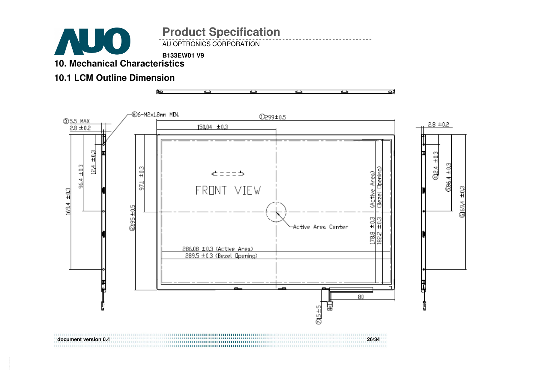

AU OPTRONICS CORPORATION

**B133EW01 V9 10. Mechanical Characteristics** 

### **10.1 LCM Outline Dimension**



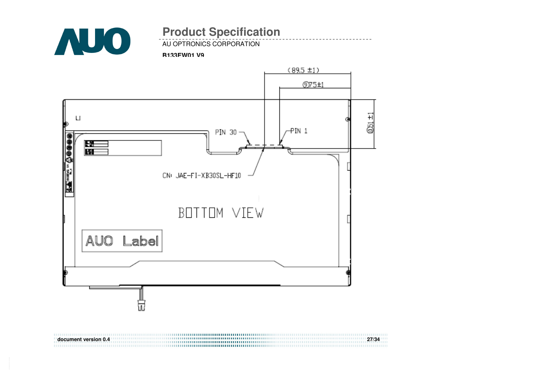

AU OPTRONICS CORPORATION

#### **B133EW01 V9**

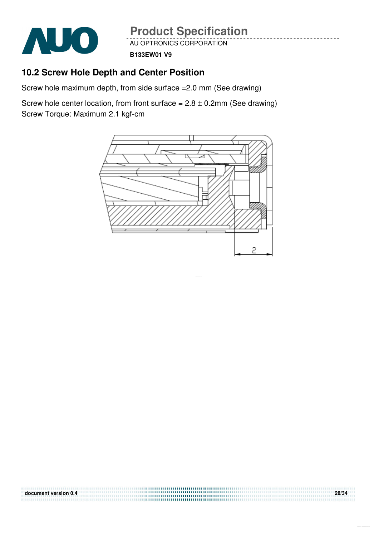

AU OPTRONICS CORPORATION **Product Specification** 

**B133EW01 V9**

### **10.2 Screw Hole Depth and Center Position**

Screw hole maximum depth, from side surface =2.0 mm (See drawing)

Screw hole center location, from front surface =  $2.8 \pm 0.2$ mm (See drawing) Screw Torque: Maximum 2.1 kgf-cm



**document version 0.4 28/34**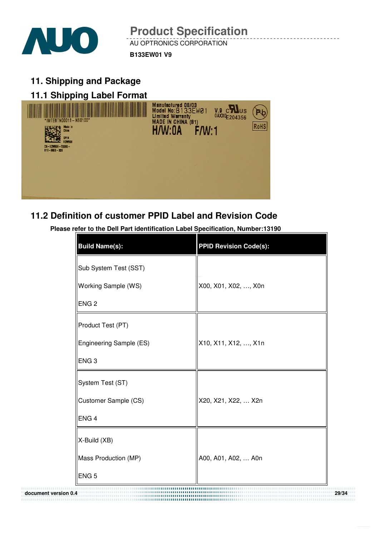

AU OPTRONICS CORPORATION **Product Specification** 

**B133EW01 V9**

**11. Shipping and Package** 

## **11.1 Shipping Label Format** Manufactured 08/03<br>Model No:B133EW01<br>Limited Warranty  $V.9 \n\begin{array}{l}\n\text{C} \n\end{array}$  Us 04XX ( $\begin{array}{l}\n\text{C} \n\end{array}$  204356 Þb MADE IN CHINA (81) **RoHS** H/W·NA  $FM·1$

### **11.2 Definition of customer PPID Label and Revision Code**

**Please refer to the Dell Part identification Label Specification, Number:13190**

| <b>Build Name(s):</b>   | <b>PPID Revision Code(s):</b> |
|-------------------------|-------------------------------|
| Sub System Test (SST)   |                               |
| Working Sample (WS)     | X00, X01, X02, , X0n          |
| ENG <sub>2</sub>        |                               |
| Product Test (PT)       |                               |
| Engineering Sample (ES) | X10, X11, X12, , X1n          |
| ENG <sub>3</sub>        |                               |
| System Test (ST)        |                               |
| Customer Sample (CS)    | X20, X21, X22,  X2n           |
| ENG <sub>4</sub>        |                               |
| X-Build (XB)            |                               |
| Mass Production (MP)    | A00, A01, A02,  A0n           |
| ENG <sub>5</sub>        |                               |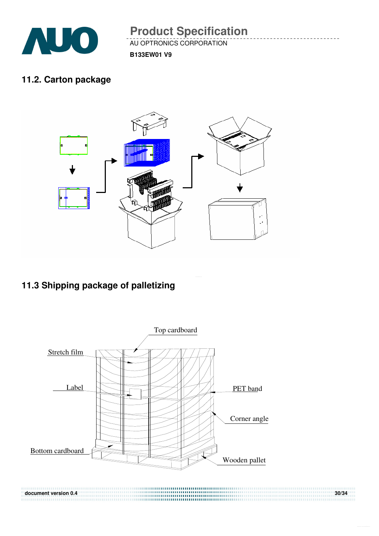

AU OPTRONICS CORPORATION **Product Specification** 

**B133EW01 V9**

### **11.2. Carton package**



## **11.3 Shipping package of palletizing**

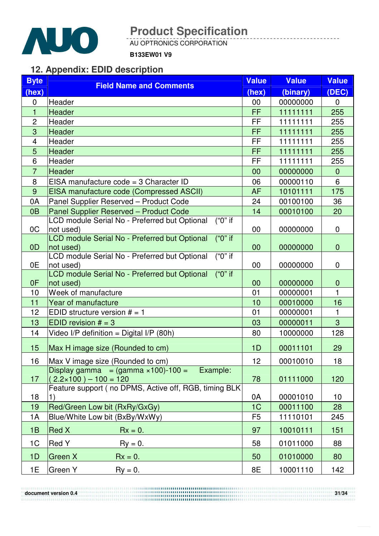

AU OPTRONICS CORPORATION

**B133EW01 V9**

### **12. Appendix: EDID description**

| <b>Byte</b>    | <b>Field Name and Comments</b>                                          | <b>Value</b>   | <b>Value</b> | <b>Value</b> |
|----------------|-------------------------------------------------------------------------|----------------|--------------|--------------|
| (hex)          |                                                                         | (hex)          | (binary)     | (DEC)        |
| $\mathbf 0$    | Header                                                                  | 00             | 00000000     | 0            |
| $\mathbf{1}$   | Header                                                                  | <b>FF</b>      | 11111111     | 255          |
| $\overline{2}$ | Header                                                                  | <b>FF</b>      | 11111111     | 255          |
| 3              | Header                                                                  | FF             | 11111111     | 255          |
| $\overline{4}$ | Header                                                                  | FF             | 11111111     | 255          |
| 5              | Header                                                                  | FF             | 11111111     | 255          |
| 6              | Header                                                                  | FF             | 11111111     | 255          |
| $\overline{7}$ | <b>Header</b>                                                           | 00             | 00000000     | $\mathbf{0}$ |
| 8              | EISA manufacture $code = 3$ Character ID                                | 06             | 00000110     | 6            |
| 9              | EISA manufacture code (Compressed ASCII)                                | <b>AF</b>      | 10101111     | 175          |
| 0A             | Panel Supplier Reserved - Product Code                                  | 24             | 00100100     | 36           |
| 0 <sub>B</sub> | Panel Supplier Reserved - Product Code                                  | 14             | 00010100     | 20           |
|                | $\overline{('0"]}$ if<br>LCD module Serial No - Preferred but Optional  |                |              |              |
| OC             | not used)                                                               | 00             | 00000000     | 0            |
|                | $("0"$ if<br>LCD module Serial No - Preferred but Optional              |                |              |              |
| 0 <sub>D</sub> | not used)<br>$("0"$ if<br>LCD module Serial No - Preferred but Optional | 00             | 00000000     | $\mathbf{0}$ |
| 0E             | not used)                                                               | 00             | 00000000     | 0            |
|                | $("0"$ if<br>LCD module Serial No - Preferred but Optional              |                |              |              |
| 0F             | not used)                                                               | 00             | 00000000     | $\mathbf 0$  |
| 10             | Week of manufacture                                                     | 01             | 00000001     | 1            |
| 11             | Year of manufacture                                                     | 10             | 00010000     | 16           |
| 12             | EDID structure version $# = 1$                                          | 01             | 00000001     | 1            |
| 13             | EDID revision $# = 3$                                                   | 03             | 00000011     | 3            |
| 14             | Video I/P definition = Digital I/P (80h)                                | 80             | 10000000     | 128          |
| 15             | Max H image size (Rounded to cm)                                        | 1D             | 00011101     | 29           |
| 16             | Max V image size (Rounded to cm)                                        | 12             | 00010010     | 18           |
|                | Display gamma = $(gamma \times 100)$ -100 =<br>Example:                 |                |              |              |
| 17             | $(2.2 \times 100) - 100 = 120$                                          | 78             | 01111000     | 120          |
|                | Feature support ( no DPMS, Active off, RGB, timing BLK)                 |                |              |              |
| 18             | 1)                                                                      | 0A             | 00001010     | 10           |
| 19             | Red/Green Low bit (RxRy/GxGy)                                           | 1C             | 00011100     | 28           |
| 1A             | Blue/White Low bit (BxBy/WxWy)                                          | F <sub>5</sub> | 11110101     | 245          |
| 1B             | <b>Red X</b><br>$Rx = 0.$                                               | 97             | 10010111     | 151          |
| 1 <sup>C</sup> | Red Y<br>$Ry = 0$ .                                                     | 58             | 01011000     | 88           |
| 1D             | Green X<br>$Rx = 0$ .                                                   | 50             | 01010000     | 80           |
| 1E             | Green Y<br>$\mathsf{R}\mathsf{y} = \mathsf{0}.$                         | 8E             | 10001110     | 142          |

**document version 0.4** 31/34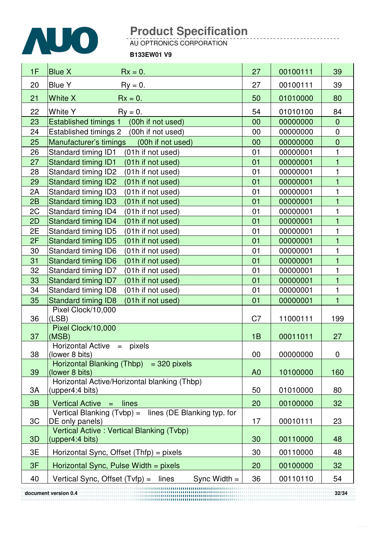

AU OPTRONICS CORPORATION

#### **B133EW01 V9**

| 1F                            | <b>Blue X</b><br>$Rx = 0$ .                                                 | 27             | 00100111 | 39             |
|-------------------------------|-----------------------------------------------------------------------------|----------------|----------|----------------|
| 20                            | <b>Blue Y</b><br>$\mathsf{R}y = 0.$                                         | 27             | 00100111 | 39             |
| 21                            | White X<br>$Rx = 0.$                                                        | 50             | 01010000 | 80             |
| 22                            | <b>White Y</b><br>$Ry = 0$ .                                                | 54             | 01010100 | 84             |
| 23                            | Established timings 1 (00h if not used)                                     | 00             | 00000000 | $\overline{0}$ |
| 24                            | Established timings 2 (00h if not used)                                     | 00             | 00000000 | $\mathbf 0$    |
| 25                            | Manufacturer's timings<br>(00h if not used)                                 | 00             | 00000000 | $\overline{0}$ |
| 26                            | Standard timing ID1<br>(01h if not used)                                    | 01             | 00000001 | 1              |
| 27                            | <b>Standard timing ID1</b><br>(01h if not used)                             | 01             | 00000001 | 1              |
| 28                            | Standard timing ID2<br>(01h if not used)                                    | 01             | 00000001 | 1              |
| 29                            | <b>Standard timing ID2</b><br>(01h if not used)                             | 01             | 00000001 | $\overline{1}$ |
| 2A                            | Standard timing ID3<br>(01h if not used)                                    | 01             | 00000001 | 1              |
| 2B                            | <b>Standard timing ID3</b><br>(01h if not used)                             | 01             | 00000001 | $\mathbf{1}$   |
| 2C                            | Standard timing ID4<br>(01h if not used)                                    | 01             | 00000001 | 1              |
| 2D                            | <b>Standard timing ID4</b><br>(01h if not used)                             | 01             | 00000001 | $\overline{1}$ |
| 2E                            | Standard timing ID5<br>(01h if not used)                                    | 01             | 00000001 | 1              |
| 2F                            | <b>Standard timing ID5</b><br>(01h if not used)                             | 01             | 00000001 | $\mathbf 1$    |
| 30                            | Standard timing ID6<br>(01h if not used)                                    | 01             | 00000001 | $\mathbf{1}$   |
| 31                            | <b>Standard timing ID6</b><br>(01h if not used)                             | 01             | 00000001 | 1              |
| 32                            | Standard timing ID7<br>(01h if not used)                                    | 01             | 00000001 | 1              |
| 33                            | Standard timing ID7<br>(01h if not used)                                    | 01             | 00000001 | $\mathbf{1}$   |
| 34                            | Standard timing ID8<br>(01h if not used)                                    | 01             | 00000001 | 1              |
| 35                            | <b>Standard timing ID8</b><br>(01h if not used)                             | 01             | 00000001 | $\mathbf{1}$   |
| 36                            | Pixel Clock/10,000<br>(LSB)                                                 | C <sub>7</sub> | 11000111 | 199            |
| 37                            | Pixel Clock/10,000<br>(MSB)                                                 | 1B             | 00011011 | 27             |
| 38                            | Horizontal Active = pixels<br>(lower 8 bits)                                | 00             | 00000000 | 0              |
| 39                            | Horizontal Blanking $(Thbp) = 320$ pixels<br>(lower 8 bits)                 | A <sub>0</sub> | 10100000 | 160            |
| 3A                            | Horizontal Active/Horizontal blanking (Thbp)<br>(upper4:4 bits)             | 50             | 01010000 | 80             |
| 3B                            | Vertical Active $=$<br>lines                                                | 20             | 00100000 | 32             |
| 3C                            | Vertical Blanking $(Tvbp) =$ lines (DE Blanking typ. for<br>DE only panels) | 17             | 00010111 | 23             |
| 3D                            | Vertical Active: Vertical Blanking (Tvbp)<br>(upper4:4 bits)                | 30             | 00110000 | 48             |
| 3E                            | Horizontal Sync, Offset (Thfp) = pixels                                     | 30             | 00110000 | 48             |
| 3F                            | Horizontal Sync, Pulse Width = pixels                                       | 20             | 00100000 | 32             |
| 40                            | Vertical Sync, Offset (Tvfp) =<br>Sync Width $=$<br>lines                   | 36             | 00110110 | 54             |
| 32/34<br>document version 0.4 |                                                                             |                |          |                |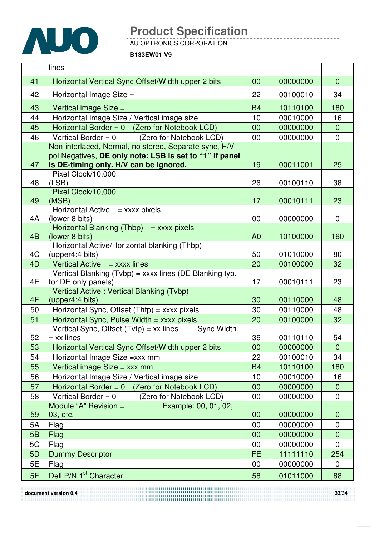

AU OPTRONICS CORPORATION

**B133EW01 V9**

|                                                             | lines                                                                          |                |          |                |
|-------------------------------------------------------------|--------------------------------------------------------------------------------|----------------|----------|----------------|
| 41                                                          | Horizontal Vertical Sync Offset/Width upper 2 bits                             | 00             | 00000000 | $\overline{0}$ |
| 42                                                          | Horizontal Image Size =                                                        | 22             | 00100010 | 34             |
| 43                                                          | Vertical image Size =                                                          | <b>B4</b>      | 10110100 | 180            |
| 44                                                          | Horizontal Image Size / Vertical image size                                    | 10             | 00010000 | 16             |
| 45                                                          | Horizontal Border = $0$ (Zero for Notebook LCD)                                | 00             | 00000000 | $\overline{0}$ |
| 46                                                          | (Zero for Notebook LCD)<br>Vertical Border = $0$                               | 00             | 00000000 | 0              |
|                                                             | Non-interlaced, Normal, no stereo, Separate sync, H/V                          |                |          |                |
|                                                             | pol Negatives, DE only note: LSB is set to "1" if panel                        |                |          |                |
| 47                                                          | is DE-timing only. H/V can be ignored.                                         | 19             | 00011001 | 25             |
|                                                             | Pixel Clock/10,000                                                             |                |          |                |
| 48                                                          | (LSB)<br>Pixel Clock/10,000                                                    | 26             | 00100110 | 38             |
| 49                                                          | (MSB)                                                                          | 17             | 00010111 | 23             |
|                                                             | Horizontal Active $=$ xxxx pixels                                              |                |          |                |
| 4A                                                          | (lower 8 bits)                                                                 | 00             | 00000000 | 0              |
|                                                             | Horizontal Blanking $(Thbp)$ = xxxx pixels                                     |                |          |                |
| 4 <sub>B</sub>                                              | (lower 8 bits)                                                                 | A <sub>0</sub> | 10100000 | 160            |
|                                                             | Horizontal Active/Horizontal blanking (Thbp)                                   |                |          |                |
| 4C                                                          | (upper4:4 bits)                                                                | 50             | 01010000 | 80             |
| 4D                                                          | Vertical Active $=$ xxxx lines                                                 | 20             | 00100000 | 32             |
| 4E                                                          | Vertical Blanking (Tvbp) = xxxx lines (DE Blanking typ.<br>for DE only panels) | 17             | 00010111 | 23             |
|                                                             | Vertical Active: Vertical Blanking (Tvbp)                                      |                |          |                |
| 4F                                                          | (upper4:4 bits)                                                                | 30             | 00110000 | 48             |
| 50                                                          | Horizontal Sync, Offset $(Thfp) =$ xxxx pixels                                 | 30             | 00110000 | 48             |
| 51                                                          | Horizontal Sync, Pulse Width $=$ xxxx pixels                                   | 20             | 00100000 | 32             |
| 52                                                          | Vertical Sync, Offset $(Tvfp) = xx$ lines<br><b>Sync Width</b><br>= xx lines   | 36             | 00110110 | 54             |
| 53                                                          | Horizontal Vertical Sync Offset/Width upper 2 bits                             | $00\,$         | 00000000 | $\overline{0}$ |
| 54                                                          | Horizontal Image Size = xxx mm                                                 | 22             | 00100010 | 34             |
| 55                                                          | Vertical image Size = xxx mm                                                   | <b>B4</b>      | 10110100 | 180            |
| 56                                                          | Horizontal Image Size / Vertical image size                                    | 10             | 00010000 | 16             |
| 57                                                          | Horizontal Border = $0$ (Zero for Notebook LCD)                                | 00             | 00000000 | $\overline{0}$ |
| 58                                                          | Vertical Border = $0$<br>(Zero for Notebook LCD)                               | 00             | 00000000 | 0              |
|                                                             | Example: 00, 01, 02,<br>Module "A" Revision =                                  |                |          |                |
| 59                                                          | 03, etc.                                                                       | 00             | 00000000 | $\mathbf 0$    |
| 5A                                                          | Flag                                                                           | 00             | 00000000 | $\mathbf 0$    |
| 5B                                                          | Flag                                                                           | 00             | 00000000 | $\overline{0}$ |
| 5C                                                          | Flag                                                                           | 00             | 00000000 | 0              |
| 5D                                                          | <b>Dummy Descriptor</b>                                                        | <b>FE</b>      | 11111110 | 254            |
| <b>5E</b>                                                   | Flag                                                                           | 00             | 00000000 | 0              |
| 5F                                                          | Dell P/N 1 <sup>st</sup> Character                                             | 58             | 01011000 | 88             |
| 33/34<br>document version 0.4<br>,,,,,,,,,,,,,,,,,,,,,,,,,, |                                                                                |                |          |                |